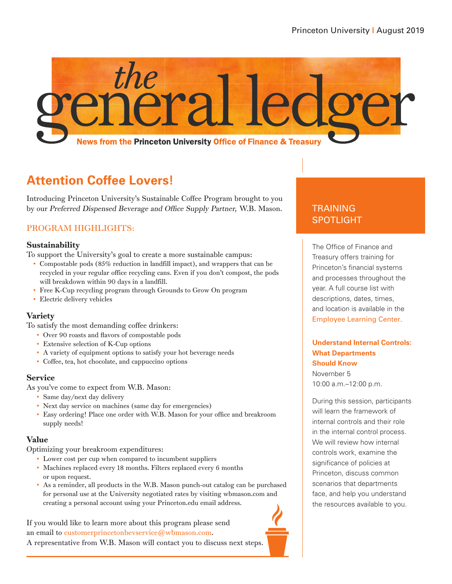

## **Attention Coffee Lovers!**

Introducing Princeton University's Sustainable Coffee Program brought to you by our Preferred Dispensed Beverage and Office Supply Partner, W.B. Mason.

### PROGRAM HIGHLIGHTS:

#### Sustainability

To support the University's goal to create a more sustainable campus:

- Compostable pods (85% reduction in landfill impact), and wrappers that can be recycled in your regular office recycling cans. Even if you don't compost, the pods will breakdown within 90 days in a landfill.
- Free K-Cup recycling program through Grounds to Grow On program
- Electric delivery vehicles

#### Variety

To satisfy the most demanding coffee drinkers:

- Over 90 roasts and flavors of compostable pods
- Extensive selection of K-Cup options
- A variety of equipment options to satisfy your hot beverage needs
- Coffee, tea, hot chocolate, and cappuccino options

#### **Service**

As you've come to expect from W.B. Mason:

- Same day/next day delivery
- Next day service on machines (same day for emergencies)
- Easy ordering! Place one order with W.B. Mason for your office and breakroom supply needs!

#### Value

Optimizing your breakroom expenditures:

- Lower cost per cup when compared to incumbent suppliers
- Machines replaced every 18 months. Filters replaced every 6 months or upon request.
- As a reminder, all products in the W.B. Mason punch-out catalog can be purchased for personal use at the University negotiated rates by visiting wbmason.com and creating a personal account using your Princeton.edu email address.

If you would like to learn more about this program please send an email to customerprincetonbevservice@wbmason.com. A representative from W.B. Mason will contact you to discuss next steps.

### TRAINING SPOTLIGHT

The Office of Finance and Treasury offers training for Princeton's financial systems and processes throughout the year. A full course list with descriptions, dates, times, and location is available in the [Employee Learning Center](https://fed.princeton.edu/cas/login;jsessionid=2D6ECF174A3A5EC64C44BC2F6BB1AD35?locale=en&service=http%3A%2F%2Fputrain.learn.com%2Fcustom%2FcustomLoginHandler.asp%3Fdebug%3Dn%26lcid%3D178409%26page%3D77).

#### **Understand Internal Controls: What Departments Should Know** November 5 10:00 a.m.–12:00 p.m.

During this session, participants will learn the framework of internal controls and their role in the internal control process. We will review how internal controls work, examine the significance of policies at Princeton, discuss common scenarios that departments face, and help you understand the resources available to you.

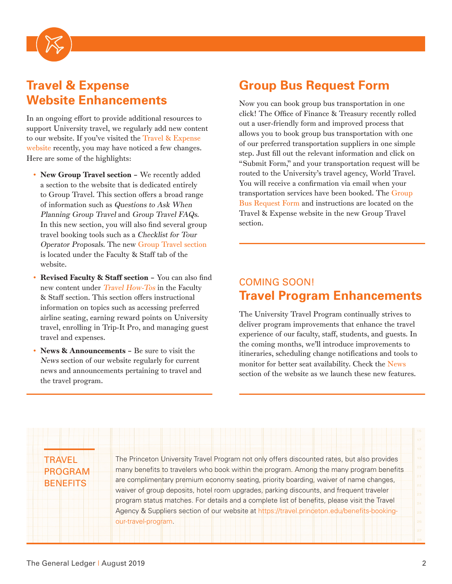

## **Travel & Expense Website Enhancements**

In an ongoing effort to provide additional resources to support University travel, we regularly add new content to our website. If you've visited the [Travel & Expense](https://travel.princeton.edu/)  [website](https://travel.princeton.edu/) recently, you may have noticed a few changes. Here are some of the highlights:

- New Group Travel section We recently added a section to the website that is dedicated entirely to Group Travel. This section offers a broad range of information such as Questions to Ask When Planning Group Travel and Group Travel FAQs. In this new section, you will also find several group travel booking tools such as a Checklist for Tour Operator Proposals. The new [Group Travel section](https://travel.princeton.edu/faculty-staff/group-travel) is located under the Faculty & Staff tab of the website.
- Revised Faculty & Staff section You can also find new content under [Travel How-Tos](https://travel.princeton.edu/faculty-staff/travel-how-tos) in the Faculty & Staff section. This section offers instructional information on topics such as accessing preferred airline seating, earning reward points on University travel, enrolling in Trip-It Pro, and managing guest travel and expenses.
- News & Announcements Be sure to visit the [News](https://travel.princeton.edu/news-updates) section of our website regularly for current news and announcements pertaining to travel and the travel program.

## **Group Bus Request Form**

Now you can book group bus transportation in one click! The Office of Finance & Treasury recently rolled out a user-friendly form and improved process that allows you to book group bus transportation with one of our preferred transportation suppliers in one simple step. Just fill out the relevant information and click on "Submit Form," and your transportation request will be routed to the University's travel agency, World Travel. You will receive a confirmation via email when your transportation services have been booked. The [Group](https://travel.princeton.edu/faculty-staff/tools-administrators/group-bus-request-form)  [Bus Request Form a](https://travel.princeton.edu/faculty-staff/tools-administrators/group-bus-request-form)nd instructions are located on the Travel & Expense website in the new Group Travel section.

### COMING SOON! **Travel Program Enhancements**

The University Travel Program continually strives to deliver program improvements that enhance the travel experience of our faculty, staff, students, and guests. In the coming months, we'll introduce improvements to itineraries, scheduling change notifications and tools to monitor for better seat availability. Check the [News](https://travel.princeton.edu/news-updates) section of the website as we launch these new features.

**TRAVEL** PROGRAM **BENEFITS** 

The Princeton University Travel Program not only offers discounted rates, but also provides many benefits to travelers who book within the program. Among the many program benefits are complimentary premium economy seating, priority boarding, waiver of name changes, waiver of group deposits, hotel room upgrades, parking discounts, and frequent traveler program status matches. For details and a complete list of benefits, please visit the Travel Agency & Suppliers section of our website at [https://travel.princeton.edu/benefits-booking](https://travel.princeton.edu/benefits-booking-our-travel-program)[our-travel-program.](https://travel.princeton.edu/benefits-booking-our-travel-program)